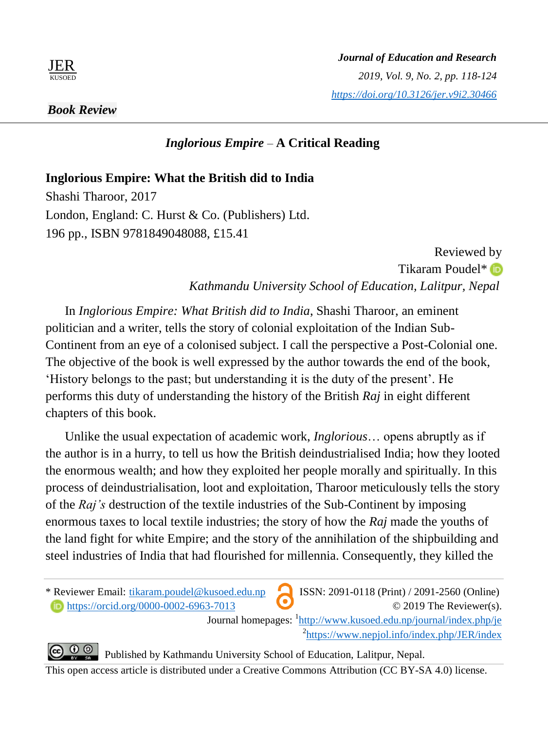

#### *Book Review*

# *Inglorious Empire* – **A Critical Reading**

**Inglorious Empire: What the British did to India** 

Shashi Tharoor, 2017 London, England: C. Hurst & Co. (Publishers) Ltd. 196 pp., ISBN 9781849048088, £15.41

> Reviewed by Tikaram Poudel\* *Kathmandu University School of Education, Lalitpur, Nepal*

In *Inglorious Empire: What British did to India*, Shashi Tharoor, an eminent politician and a writer, tells the story of colonial exploitation of the Indian Sub-Continent from an eye of a colonised subject. I call the perspective a Post-Colonial one. The objective of the book is well expressed by the author towards the end of the book, "History belongs to the past; but understanding it is the duty of the present". He performs this duty of understanding the history of the British *Raj* in eight different chapters of this book.

Unlike the usual expectation of academic work, *Inglorious*… opens abruptly as if the author is in a hurry, to tell us how the British deindustrialised India; how they looted the enormous wealth; and how they exploited her people morally and spiritually. In this process of deindustrialisation, loot and exploitation, Tharoor meticulously tells the story of the *Raj's* destruction of the textile industries of the Sub-Continent by imposing enormous taxes to local textile industries; the story of how the *Raj* made the youths of the land fight for white Empire; and the story of the annihilation of the shipbuilding and steel industries of India that had flourished for millennia. Consequently, they killed the

Journal homepages:  $\frac{1 \text{http://www.kusoed.edu,np/journal/index.php/j}}{$ <sup>2</sup>https://www.nepjol.info/index.php/JER/index

Published by Kathmandu University School of Education, Lalitpur, Nepal.

This open access article is distributed under a Creative Commons Attribution (CC BY-SA 4.0) license.

<sup>\*</sup> Reviewer Email: tikaram.poudel@kusoed.edu.np ISSN: 2091-0118 (Print) / 2091-2560 (Online) https://orcid.org/0000-0002-6963-7013 © 2019 The Reviewer(s).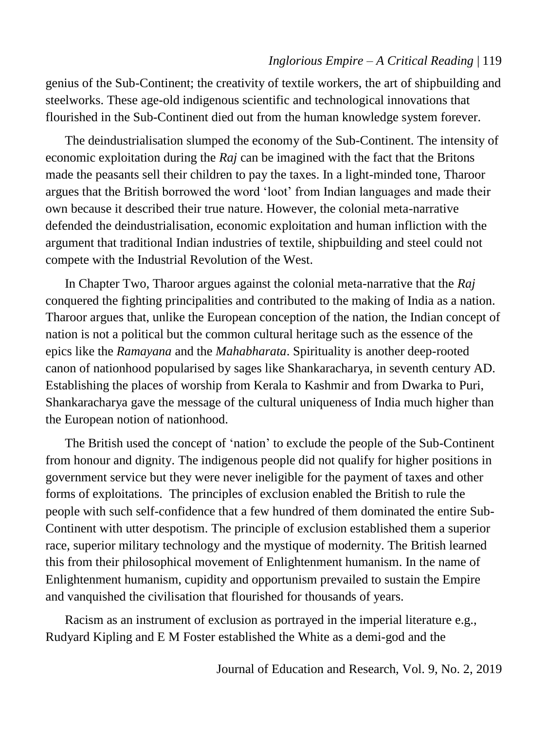# *Inglorious Empire – A Critical Reading* | 119

genius of the Sub-Continent; the creativity of textile workers, the art of shipbuilding and steelworks. These age-old indigenous scientific and technological innovations that flourished in the Sub-Continent died out from the human knowledge system forever.

The deindustrialisation slumped the economy of the Sub-Continent. The intensity of economic exploitation during the *Raj* can be imagined with the fact that the Britons made the peasants sell their children to pay the taxes. In a light-minded tone, Tharoor argues that the British borrowed the word "loot" from Indian languages and made their own because it described their true nature. However, the colonial meta-narrative defended the deindustrialisation, economic exploitation and human infliction with the argument that traditional Indian industries of textile, shipbuilding and steel could not compete with the Industrial Revolution of the West.

In Chapter Two, Tharoor argues against the colonial meta-narrative that the *Raj* conquered the fighting principalities and contributed to the making of India as a nation. Tharoor argues that, unlike the European conception of the nation, the Indian concept of nation is not a political but the common cultural heritage such as the essence of the epics like the *Ramayana* and the *Mahabharata*. Spirituality is another deep-rooted canon of nationhood popularised by sages like Shankaracharya, in seventh century AD. Establishing the places of worship from Kerala to Kashmir and from Dwarka to Puri, Shankaracharya gave the message of the cultural uniqueness of India much higher than the European notion of nationhood.

The British used the concept of "nation" to exclude the people of the Sub-Continent from honour and dignity. The indigenous people did not qualify for higher positions in government service but they were never ineligible for the payment of taxes and other forms of exploitations. The principles of exclusion enabled the British to rule the people with such self-confidence that a few hundred of them dominated the entire Sub-Continent with utter despotism. The principle of exclusion established them a superior race, superior military technology and the mystique of modernity. The British learned this from their philosophical movement of Enlightenment humanism. In the name of Enlightenment humanism, cupidity and opportunism prevailed to sustain the Empire and vanquished the civilisation that flourished for thousands of years.

Racism as an instrument of exclusion as portrayed in the imperial literature e.g., Rudyard Kipling and E M Foster established the White as a demi-god and the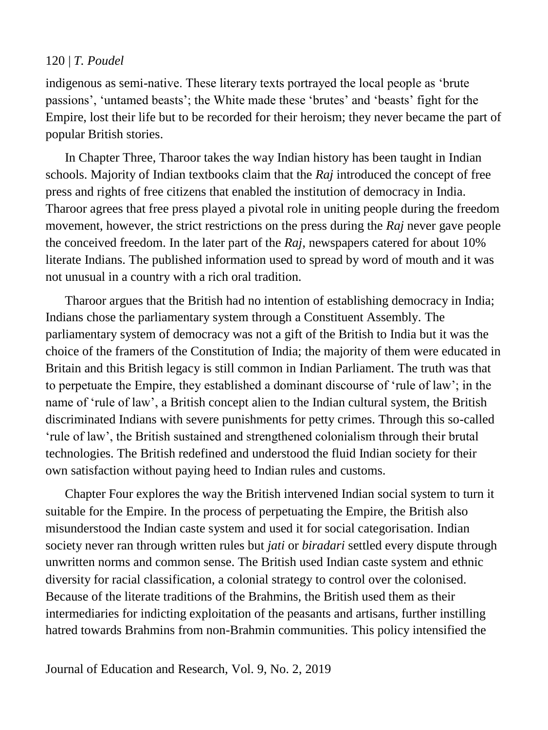### 120 | *T. Poudel*

indigenous as semi-native. These literary texts portrayed the local people as "brute passions", "untamed beasts"; the White made these "brutes" and "beasts" fight for the Empire, lost their life but to be recorded for their heroism; they never became the part of popular British stories.

In Chapter Three, Tharoor takes the way Indian history has been taught in Indian schools. Majority of Indian textbooks claim that the *Raj* introduced the concept of free press and rights of free citizens that enabled the institution of democracy in India. Tharoor agrees that free press played a pivotal role in uniting people during the freedom movement, however, the strict restrictions on the press during the *Raj* never gave people the conceived freedom. In the later part of the *Raj*, newspapers catered for about 10% literate Indians. The published information used to spread by word of mouth and it was not unusual in a country with a rich oral tradition.

Tharoor argues that the British had no intention of establishing democracy in India; Indians chose the parliamentary system through a Constituent Assembly. The parliamentary system of democracy was not a gift of the British to India but it was the choice of the framers of the Constitution of India; the majority of them were educated in Britain and this British legacy is still common in Indian Parliament. The truth was that to perpetuate the Empire, they established a dominant discourse of "rule of law"; in the name of "rule of law", a British concept alien to the Indian cultural system, the British discriminated Indians with severe punishments for petty crimes. Through this so-called "rule of law", the British sustained and strengthened colonialism through their brutal technologies. The British redefined and understood the fluid Indian society for their own satisfaction without paying heed to Indian rules and customs.

Chapter Four explores the way the British intervened Indian social system to turn it suitable for the Empire. In the process of perpetuating the Empire, the British also misunderstood the Indian caste system and used it for social categorisation. Indian society never ran through written rules but *jati* or *biradari* settled every dispute through unwritten norms and common sense. The British used Indian caste system and ethnic diversity for racial classification, a colonial strategy to control over the colonised. Because of the literate traditions of the Brahmins, the British used them as their intermediaries for indicting exploitation of the peasants and artisans, further instilling hatred towards Brahmins from non-Brahmin communities. This policy intensified the

Journal of Education and Research, Vol. 9, No. 2, 2019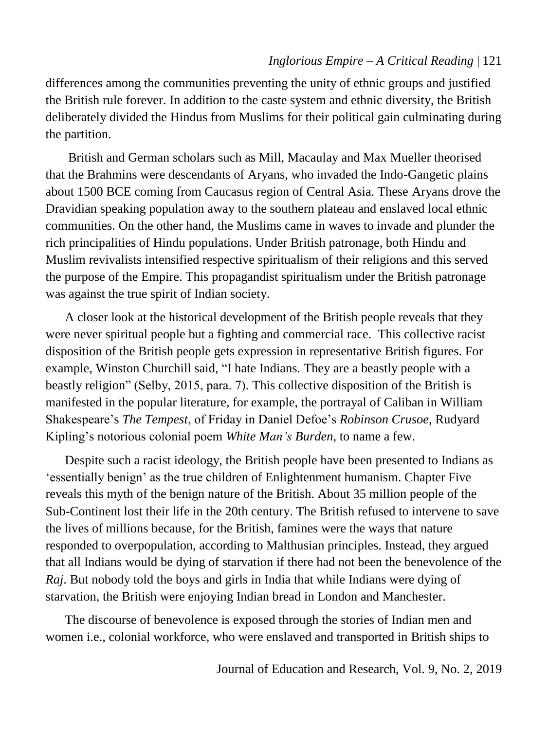# *Inglorious Empire – A Critical Reading* | 121

differences among the communities preventing the unity of ethnic groups and justified the British rule forever. In addition to the caste system and ethnic diversity, the British deliberately divided the Hindus from Muslims for their political gain culminating during the partition.

British and German scholars such as Mill, Macaulay and Max Mueller theorised that the Brahmins were descendants of Aryans, who invaded the Indo-Gangetic plains about 1500 BCE coming from Caucasus region of Central Asia. These Aryans drove the Dravidian speaking population away to the southern plateau and enslaved local ethnic communities. On the other hand, the Muslims came in waves to invade and plunder the rich principalities of Hindu populations. Under British patronage, both Hindu and Muslim revivalists intensified respective spiritualism of their religions and this served the purpose of the Empire. This propagandist spiritualism under the British patronage was against the true spirit of Indian society.

A closer look at the historical development of the British people reveals that they were never spiritual people but a fighting and commercial race. This collective racist disposition of the British people gets expression in representative British figures. For example, Winston Churchill said, "I hate Indians. They are a beastly people with a beastly religion" (Selby, 2015, para. 7). This collective disposition of the British is manifested in the popular literature, for example, the portrayal of Caliban in William Shakespeare"s *The Tempest*, of Friday in Daniel Defoe"s *Robinson Crusoe*, Rudyard Kipling"s notorious colonial poem *White Man's Burden*, to name a few.

Despite such a racist ideology, the British people have been presented to Indians as "essentially benign" as the true children of Enlightenment humanism. Chapter Five reveals this myth of the benign nature of the British. About 35 million people of the Sub-Continent lost their life in the 20th century. The British refused to intervene to save the lives of millions because, for the British, famines were the ways that nature responded to overpopulation, according to Malthusian principles. Instead, they argued that all Indians would be dying of starvation if there had not been the benevolence of the *Raj*. But nobody told the boys and girls in India that while Indians were dying of starvation, the British were enjoying Indian bread in London and Manchester.

The discourse of benevolence is exposed through the stories of Indian men and women i.e., colonial workforce, who were enslaved and transported in British ships to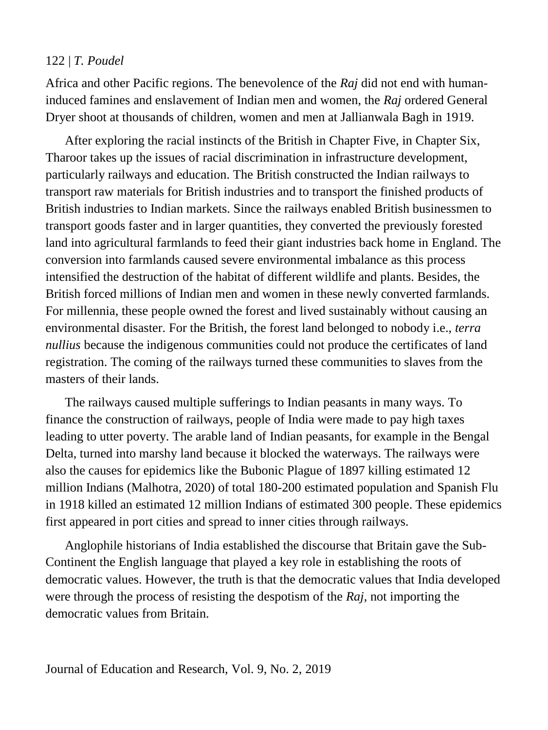### 122 | *T. Poudel*

Africa and other Pacific regions. The benevolence of the *Raj* did not end with humaninduced famines and enslavement of Indian men and women, the *Raj* ordered General Dryer shoot at thousands of children, women and men at Jallianwala Bagh in 1919.

After exploring the racial instincts of the British in Chapter Five, in Chapter Six, Tharoor takes up the issues of racial discrimination in infrastructure development, particularly railways and education. The British constructed the Indian railways to transport raw materials for British industries and to transport the finished products of British industries to Indian markets. Since the railways enabled British businessmen to transport goods faster and in larger quantities, they converted the previously forested land into agricultural farmlands to feed their giant industries back home in England. The conversion into farmlands caused severe environmental imbalance as this process intensified the destruction of the habitat of different wildlife and plants. Besides, the British forced millions of Indian men and women in these newly converted farmlands. For millennia, these people owned the forest and lived sustainably without causing an environmental disaster. For the British, the forest land belonged to nobody i.e., *terra nullius* because the indigenous communities could not produce the certificates of land registration. The coming of the railways turned these communities to slaves from the masters of their lands.

The railways caused multiple sufferings to Indian peasants in many ways. To finance the construction of railways, people of India were made to pay high taxes leading to utter poverty. The arable land of Indian peasants, for example in the Bengal Delta, turned into marshy land because it blocked the waterways. The railways were also the causes for epidemics like the Bubonic Plague of 1897 killing estimated 12 million Indians (Malhotra, 2020) of total 180-200 estimated population and Spanish Flu in 1918 killed an estimated 12 million Indians of estimated 300 people. These epidemics first appeared in port cities and spread to inner cities through railways.

Anglophile historians of India established the discourse that Britain gave the Sub-Continent the English language that played a key role in establishing the roots of democratic values. However, the truth is that the democratic values that India developed were through the process of resisting the despotism of the *Raj*, not importing the democratic values from Britain.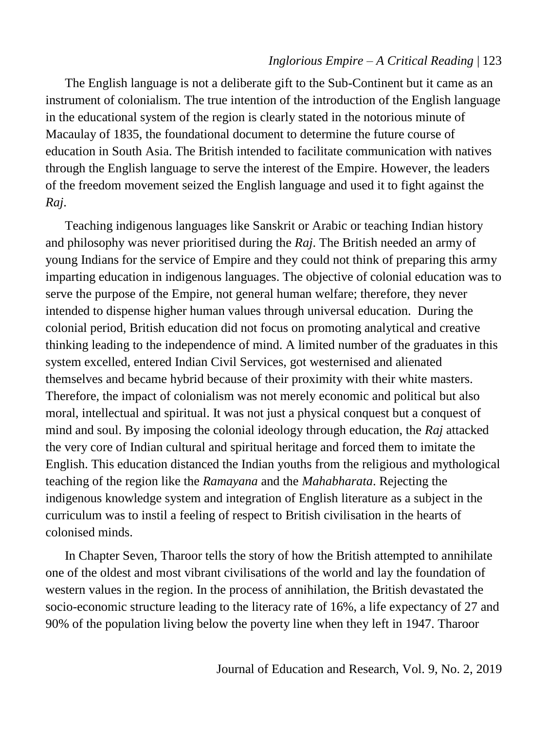### *Inglorious Empire – A Critical Reading* | 123

The English language is not a deliberate gift to the Sub-Continent but it came as an instrument of colonialism. The true intention of the introduction of the English language in the educational system of the region is clearly stated in the notorious minute of Macaulay of 1835, the foundational document to determine the future course of education in South Asia. The British intended to facilitate communication with natives through the English language to serve the interest of the Empire. However, the leaders of the freedom movement seized the English language and used it to fight against the *Raj*.

Teaching indigenous languages like Sanskrit or Arabic or teaching Indian history and philosophy was never prioritised during the *Raj*. The British needed an army of young Indians for the service of Empire and they could not think of preparing this army imparting education in indigenous languages. The objective of colonial education was to serve the purpose of the Empire, not general human welfare; therefore, they never intended to dispense higher human values through universal education. During the colonial period, British education did not focus on promoting analytical and creative thinking leading to the independence of mind. A limited number of the graduates in this system excelled, entered Indian Civil Services, got westernised and alienated themselves and became hybrid because of their proximity with their white masters. Therefore, the impact of colonialism was not merely economic and political but also moral, intellectual and spiritual. It was not just a physical conquest but a conquest of mind and soul. By imposing the colonial ideology through education, the *Raj* attacked the very core of Indian cultural and spiritual heritage and forced them to imitate the English. This education distanced the Indian youths from the religious and mythological teaching of the region like the *Ramayana* and the *Mahabharata*. Rejecting the indigenous knowledge system and integration of English literature as a subject in the curriculum was to instil a feeling of respect to British civilisation in the hearts of colonised minds.

In Chapter Seven, Tharoor tells the story of how the British attempted to annihilate one of the oldest and most vibrant civilisations of the world and lay the foundation of western values in the region. In the process of annihilation, the British devastated the socio-economic structure leading to the literacy rate of 16%, a life expectancy of 27 and 90% of the population living below the poverty line when they left in 1947. Tharoor